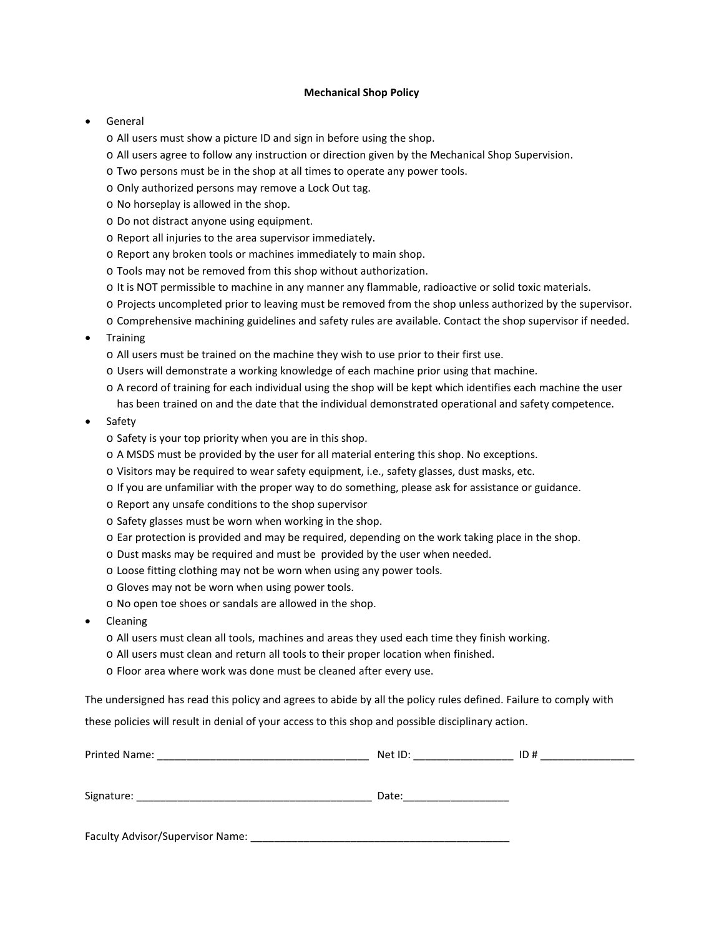## **Mechanical Shop Policy**

## **General**

- o All users must show a picture ID and sign in before using the shop.
- o All users agree to follow any instruction or direction given by the Mechanical Shop Supervision.
- o Two persons must be in the shop at all times to operate any power tools.
- o Only authorized persons may remove a Lock Out tag.
- o No horseplay is allowed in the shop.
- o Do not distract anyone using equipment.
- o Report all injuries to the area supervisor immediately.
- o Report any broken tools or machines immediately to main shop.
- o Tools may not be removed from this shop without authorization.
- o It is NOT permissible to machine in any manner any flammable, radioactive or solid toxic materials.
- o Projects uncompleted prior to leaving must be removed from the shop unless authorized by the supervisor.
- o Comprehensive machining guidelines and safety rules are available. Contact the shop supervisor if needed.
- **Training** 
	- o All users must be trained on the machine they wish to use prior to their first use.
	- o Users will demonstrate a working knowledge of each machine prior using that machine.
	- o A record of training for each individual using the shop will be kept which identifies each machine the user has been trained on and the date that the individual demonstrated operational and safety competence.
- Safety
	- o Safety is your top priority when you are in this shop.
	- o A MSDS must be provided by the user for all material entering this shop. No exceptions.
	- o Visitors may be required to wear safety equipment, i.e., safety glasses, dust masks, etc.
	- o If you are unfamiliar with the proper way to do something, please ask for assistance or guidance.
	- o Report any unsafe conditions to the shop supervisor
	- o Safety glasses must be worn when working in the shop.
	- o Ear protection is provided and may be required, depending on the work taking place in the shop.
	- o Dust masks may be required and must be provided by the user when needed.
	- o Loose fitting clothing may not be worn when using any power tools.
	- o Gloves may not be worn when using power tools.
	- o No open toe shoes or sandals are allowed in the shop.
- Cleaning
	- o All users must clean all tools, machines and areas they used each time they finish working.
	- o All users must clean and return all tools to their proper location when finished.
	- o Floor area where work was done must be cleaned after every use.

The undersigned has read this policy and agrees to abide by all the policy rules defined. Failure to comply with

these policies will result in denial of your access to this shop and possible disciplinary action.

| Printed Name: | Net ID: | ID# |  |
|---------------|---------|-----|--|
|               | Date:   |     |  |
|               |         |     |  |